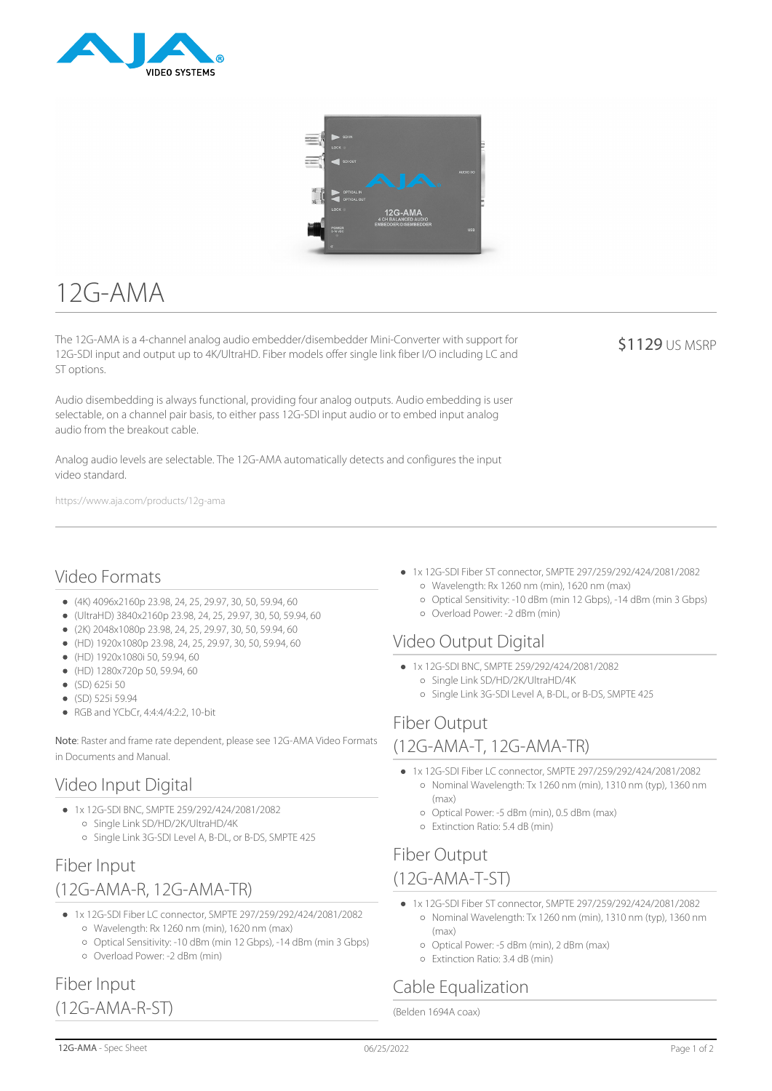



# $12G-AMA$

The 12G-AMA is a 4-channel analog audio embedder/disembedder Mini-Converter with support for 12G-SDI input and output up to 4K/UltraHD. Fiber models offer single link fiber I/O including LC and ST options.

Audio disembedding is always functional, providing four analog outputs. Audio embedding is user selectable, on a channel pair basis, to either pass 12G-SDI input audio or to embed input analog audio from the breakout cable.

Analog audio levels are selectable. The 12G-AMA automatically detects and configures the input video standard.

https://www.aja.com/products/12g-ama

#### Video Formats

- $(4K)$  4096x2160p 23.98, 24, 25, 29.97, 30, 50, 59.94, 60
- (UltraHD) 3840x2160p 23.98, 24, 25, 29.97, 30, 50, 59.94, 60
- (2K) 2048x1080p 23.98, 24, 25, 29.97, 30, 50, 59.94, 60
- (HD) 1920x1080p 23.98, 24, 25, 29.97, 30, 50, 59.94, 60
- (HD) 1920x1080i 50, 59.94, 60
- (HD) 1280x720p 50, 59.94, 60
- (SD) 625i 50
- (SD) 525i 59.94
- RGB and YCbCr, 4:4:4/4:2:2, 10-bit

Note: Raster and frame rate dependent, please see 12G-AMA Video Formats in Documents and Manual.

#### Video Input Digital

- 1x 12G-SDI BNC, SMPTE 259/292/424/2081/2082
	- Single Link SD/HD/2K/UltraHD/4K
	- o Single Link 3G-SDI Level A, B-DL, or B-DS, SMPTE 425

#### Fiber Input (12G-AMA-R, 12G-AMA-TR)

- 1x 12G-SDI Fiber LC connector, SMPTE 297/259/292/424/2081/2082 Wavelength: Rx 1260 nm (min), 1620 nm (max)
	- Optical Sensitivity: -10 dBm (min 12 Gbps), -14 dBm (min 3 Gbps) Overload Power: -2 dBm (min)

#### 1x 12G-SDI Fiber ST connector, SMPTE 297/259/292/424/2081/2082 Wavelength: Rx 1260 nm (min), 1620 nm (max)

- Optical Sensitivity: -10 dBm (min 12 Gbps), -14 dBm (min 3 Gbps)
- Overload Power: -2 dBm (min)

#### Video Output Digital

- 1x 12G-SDI BNC, SMPTE 259/292/424/2081/2082
- Single Link SD/HD/2K/UltraHD/4K
	- o Single Link 3G-SDI Level A, B-DL, or B-DS, SMPTE 425

## Fiber Output

#### (12G-AMA-T, 12G-AMA-TR)

- 1x 12G-SDI Fiber LC connector, SMPTE 297/259/292/424/2081/2082 o Nominal Wavelength: Tx 1260 nm (min), 1310 nm (typ), 1360 nm (max)
	- Optical Power: -5 dBm (min), 0.5 dBm (max)
	- Extinction Ratio: 5.4 dB (min)

#### Fiber Output (12G-AMA-T-ST)

- 1x 12G-SDI Fiber ST connector, SMPTE 297/259/292/424/2081/2082
	- Nominal Wavelength: Tx 1260 nm (min), 1310 nm (typ), 1360 nm (max)
	- Optical Power: -5 dBm (min), 2 dBm (max)
	- Extinction Ratio: 3.4 dB (min)

# Cable Equalization

(Belden 1694A coax)

(12G-AMA-R-ST)

Fiber Input

\$1129 US MSRP